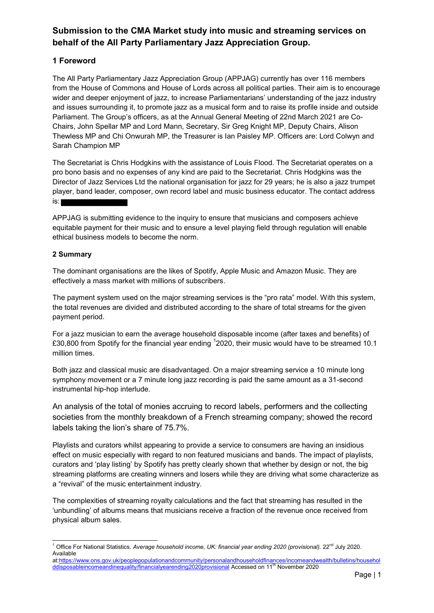# **Submission to the CMA Market study into music and streaming services on behalf of the All Party Parliamentary Jazz Appreciation Group.**

### **1 Foreword**

The All Party Parliamentary Jazz Appreciation Group (APPJAG) currently has over 116 members from the House of Commons and House of Lords across all political parties. Their aim is to encourage wider and deeper enjoyment of jazz, to increase Parliamentarians' understanding of the jazz industry and issues surrounding it, to promote jazz as a musical form and to raise its profile inside and outside Parliament. The Group's officers, as at the Annual General Meeting of 22nd March 2021 are Co-Chairs, John Spellar MP and Lord Mann, Secretary, Sir Greg Knight MP, Deputy Chairs, Alison Thewless MP and Chi Onwurah MP, the Treasurer is Ian Paisley MP. Officers are: Lord Colwyn and Sarah Champion MP

The Secretariat is Chris Hodgkins with the assistance of Louis Flood. The Secretariat operates on a pro bono basis and no expenses of any kind are paid to the Secretariat. Chris Hodgkins was the Director of Jazz Services Ltd the national organisation for jazz for 29 years; he is also a jazz trumpet player, band leader, composer, own record label and music business educator. The contact address is:

APPJAG is submitting evidence to the inquiry to ensure that musicians and composers achieve equitable payment for their music and to ensure a level playing field through regulation will enable ethical business models to become the norm.

#### **2 Summary**

The dominant organisations are the likes of Spotify, Apple Music and Amazon Music. They are effectively a mass market with millions of subscribers.

The payment system used on the major streaming services is the "pro rata" model. With this system, the total revenues are divided and distributed according to the share of total streams for the given payment period.

For a jazz musician to earn the average household disposable income (after taxes and benefits) of £30,800 from Spotify for the financial year ending  $^1$ 2020, their music would have to be streamed 10.1 million times.

Both jazz and classical music are disadvantaged. On a major streaming service a 10 minute long symphony movement or a 7 minute long jazz recording is paid the same amount as a 31-second instrumental hip-hop interlude.

An analysis of the total of monies accruing to record labels, performers and the collecting societies from the monthly breakdown of a French streaming company; showed the record labels taking the lion's share of 75.7%.

Playlists and curators whilst appearing to provide a service to consumers are having an insidious effect on music especially with regard to non featured musicians and bands. The impact of playlists, curators and 'play listing' by Spotify has pretty clearly shown that whether by design or not, the big streaming platforms are creating winners and losers while they are driving what some characterize as a "revival" of the music entertainment industry.

The complexities of streaming royalty calculations and the fact that streaming has resulted in the 'unbundling' of albums means that musicians receive a fraction of the revenue once received from physical album sales.

 1 Office For National Statistics. *Average household income, UK: financial year ending 2020 (provisional).* 22nd July 2020. Available

at[:https://www.ons.gov.uk/peoplepopulationandcommunity/personalandhouseholdfinances/incomeandwealth/bulletins/househol](https://www.ons.gov.uk/peoplepopulationandcommunity/personalandhouseholdfinances/incomeandwealth/bulletins/householddisposableincomeandinequality/financialyearending2020provisional) [ddisposableincomeandinequality/financialyearending2020provisional](https://www.ons.gov.uk/peoplepopulationandcommunity/personalandhouseholdfinances/incomeandwealth/bulletins/householddisposableincomeandinequality/financialyearending2020provisional) Accessed on 11<sup>th</sup> November 2020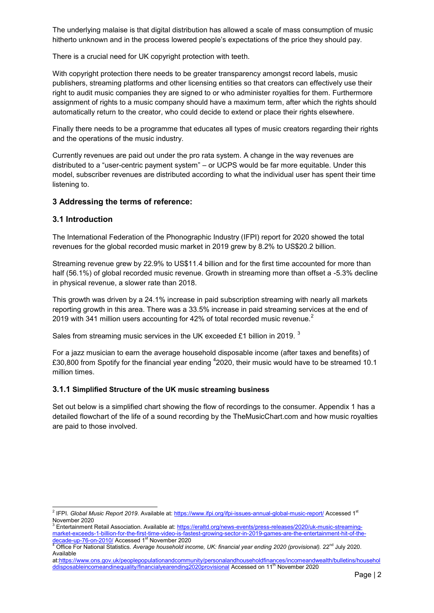The underlying malaise is that digital distribution has allowed a scale of mass consumption of music hitherto unknown and in the process lowered people's expectations of the price they should pay.

There is a crucial need for UK copyright protection with teeth.

With copyright protection there needs to be greater transparency amongst record labels, music publishers, streaming platforms and other licensing entities so that creators can effectively use their right to audit music companies they are signed to or who administer royalties for them. Furthermore assignment of rights to a music company should have a maximum term, after which the rights should automatically return to the creator, who could decide to extend or place their rights elsewhere.

Finally there needs to be a programme that educates all types of music creators regarding their rights and the operations of the music industry.

Currently revenues are paid out under the pro rata system. A change in the way revenues are distributed to a "user-centric payment system" – or UCPS would be far more equitable. Under this model, subscriber revenues are distributed according to what the individual user has spent their time listening to.

#### **3 Addressing the terms of reference:**

#### **3.1 Introduction**

The International Federation of the Phonographic Industry (IFPI) report for 2020 showed the total revenues for the global recorded music market in 2019 grew by 8.2% to US\$20.2 billion.

Streaming revenue grew by 22.9% to US\$11.4 billion and for the first time accounted for more than half (56.1%) of global recorded music revenue. Growth in streaming more than offset a -5.3% decline in physical revenue, a slower rate than 2018.

This growth was driven by a 24.1% increase in paid subscription streaming with nearly all markets reporting growth in this area. There was a 33.5% increase in paid streaming services at the end of 2019 with 341 million users accounting for 42% of total recorded music revenue.<sup>2</sup>

Sales from streaming music services in the UK exceeded £1 billion in 2019.  $^3$ 

For a jazz musician to earn the average household disposable income (after taxes and benefits) of £30,800 from Spotify for the financial year ending  $^4$ 2020, their music would have to be streamed 10.1 million times.

#### **3.1.1 Simplified Structure of the UK music streaming business**

Set out below is a simplified chart showing the flow of recordings to the consumer. Appendix 1 has a detailed flowchart of the life of a sound recording by the TheMusicChart.com and how music royalties are paid to those involved.

 2 IFPI. *Global Music Report 2019*. Available at: [https://www.ifpi.org/ifpi-issues-annual-global-music-report/ A](https://www.ifpi.org/ifpi-issues-annual-global-music-report/)ccessed 1st

November 2020<br><sup>3</sup> Entertainment Retail Association. Available at: <u>https://eraltd.org/news-events/press-releases/2020/uk-music-streaming-</u> [market-exceeds-1-billion-for-the-first-time-video-is-fastest-growing-sector-in-2019-games-are-the-entertainment-hit-of-the](https://eraltd.org/news-events/press-releases/2020/uk-music-streaming-market-exceeds-1-billion-for-the-first-time-video-is-fastest-growing-sector-in-2019-games-are-the-entertainment-hit-of-the-decade-up-76-on-2010/)[decade-up-76-on-2010/ A](https://eraltd.org/news-events/press-releases/2020/uk-music-streaming-market-exceeds-1-billion-for-the-first-time-video-is-fastest-growing-sector-in-2019-games-are-the-entertainment-hit-of-the-decade-up-76-on-2010/)ccessed 1<sup>st</sup> November 2020

<sup>&</sup>lt;sup>4</sup> Office For National Statistics. *Average household income, UK: financial year ending 2020 (provisional).* 22<sup>nd</sup> July 2020. Available

at[:https://www.ons.gov.uk/peoplepopulationandcommunity/personalandhouseholdfinances/incomeandwealth/bulletins/househol](https://www.ons.gov.uk/peoplepopulationandcommunity/personalandhouseholdfinances/incomeandwealth/bulletins/householddisposableincomeandinequality/financialyearending2020provisional) [ddisposableincomeandinequality/financialyearending2020provisional](https://www.ons.gov.uk/peoplepopulationandcommunity/personalandhouseholdfinances/incomeandwealth/bulletins/householddisposableincomeandinequality/financialyearending2020provisional) Accessed on 11<sup>th</sup> November 2020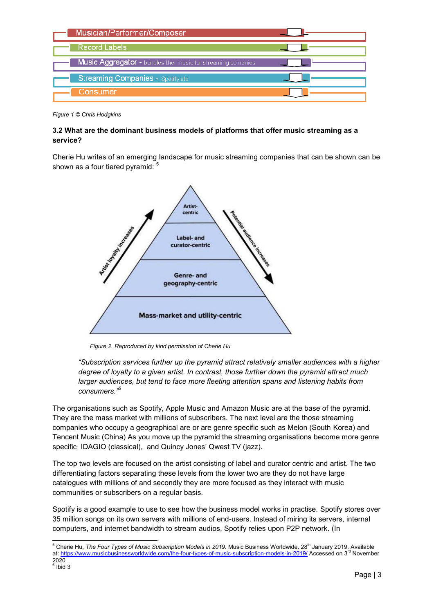| Musician/Performer/Composer                                        |  |
|--------------------------------------------------------------------|--|
| <b>Record Labels</b>                                               |  |
| <b>Music Aggregator -</b> bundles the music for streaming comanies |  |
| <b>Streaming Companies - Spotify etc.</b>                          |  |
| Consumer                                                           |  |

*Figure 1 © Chris Hodgkins* 

#### **3.2 What are the dominant business models of platforms that offer music streaming as a service?**

Cherie Hu writes of an emerging landscape for music streaming companies that can be shown can be shown as a four tiered pyramid:  $5$ 



*Figure 2. Reproduced by kind permission of Cherie Hu* 

*"Subscription services further up the pyramid attract relatively smaller audiences with a higher degree of loyalty to a given artist. In contrast, those further down the pyramid attract much larger audiences, but tend to face more fleeting attention spans and listening habits from consumers."<sup>6</sup>*

The organisations such as Spotify, Apple Music and Amazon Music are at the base of the pyramid. They are the mass market with millions of subscribers. The next level are the those streaming companies who occupy a geographical are or are genre specific such as Melon (South Korea) and Tencent Music (China) As you move up the pyramid the streaming organisations become more genre specific IDAGIO (classical), and Quincy Jones' Qwest TV (jazz).

The top two levels are focused on the artist consisting of label and curator centric and artist. The two differentiating factors separating these levels from the lower two are they do not have large catalogues with millions of and secondly they are more focused as they interact with music communities or subscribers on a regular basis.

Spotify is a good example to use to see how the business model works in practise. Spotify stores over 35 million songs on its own servers with millions of end-users. Instead of miring its servers, internal computers, and internet bandwidth to stream audios, Spotify relies upon P2P network. (In

 5 Cherie Hu, *The Four Types of Music Subscription Models in 2019.* Music Business Worldwide. 28th January 2019. Available at:<https://www.musicbusinessworldwide.com/the-four-types-of-music-subscription-models-in-2019/>Accessed on 3<sup>rd</sup> November 2020

 $<sup>6</sup>$  Ibid 3</sup>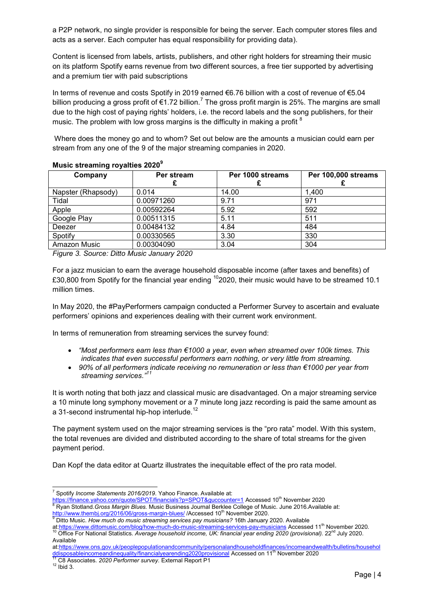a P2P network, no single provider is responsible for being the server. Each computer stores files and acts as a server. Each computer has equal responsibility for providing data).

Content is licensed from labels, artists, publishers, and other right holders for streaming their music on its platform Spotify earns revenue from two different sources, a free tier supported by advertising and a premium tier with paid subscriptions

In terms of revenue and costs Spotify in 2019 earned €6.76 billion with a cost of revenue of €5.04 billion producing a gross profit of €1.72 billion.<sup>7</sup> The gross profit margin is 25%. The margins are small due to the high cost of paying rights' holders, i.e. the record labels and the song publishers, for their music. The problem with low gross margins is the difficulty in making a profit <sup>8</sup>

Where does the money go and to whom? Set out below are the amounts a musician could earn per stream from any one of the 9 of the major streaming companies in 2020.

| Company            | Per stream | Per 1000 streams | Per 100,000 streams |
|--------------------|------------|------------------|---------------------|
|                    |            |                  |                     |
| Napster (Rhapsody) | 0.014      | 14.00            | 1.400               |
| Tidal              | 0.00971260 | 9.71             | 971                 |
| Apple              | 0.00592264 | 5.92             | 592                 |
| Google Play        | 0.00511315 | 5.11             | 511                 |
| Deezer             | 0.00484132 | 4.84             | 484                 |
| Spotify            | 0.00330565 | 3.30             | 330                 |
| Amazon Music       | 0.00304090 | 3.04             | 304                 |

#### **Music streaming royalties 2020<sup>9</sup>**

*Figure 3. Source: Ditto Music January 2020*

For a jazz musician to earn the average household disposable income (after taxes and benefits) of £30,800 from Spotify for the financial year ending  $10$  2020, their music would have to be streamed 10.1 million times.

In May 2020, the #PayPerformers campaign conducted a Performer Survey to ascertain and evaluate performers' opinions and experiences dealing with their current work environment.

In terms of remuneration from streaming services the survey found:

- *"Most performers earn less than €1000 a year, even when streamed over 100k times. This indicates that even successful performers earn nothing, or very little from streaming.*
- *90% of all performers indicate receiving no remuneration or less than €1000 per year from streaming services."<sup>11</sup>*

It is worth noting that both jazz and classical music are disadvantaged. On a major streaming service a 10 minute long symphony movement or a 7 minute long jazz recording is paid the same amount as a 31-second instrumental hip-hop interlude.<sup>12</sup>

The payment system used on the major streaming services is the "pro rata" model. With this system, the total revenues are divided and distributed according to the share of total streams for the given payment period.

Dan Kopf the data editor at Quartz illustrates the inequitable effect of the pro rata model.

 7 Spotify *Income Statements 2016/2019*. Yahoo Finance. Available at:

<sup>&</sup>lt;u>https://finance.yahoo.com/quote/SPOT/financials?p=SPOT&guccounter=1</u> Accessed 10<sup>th</sup> November 2020 8 Ryan Stotland.*Gross Margin Blues.* Music Business Journal Berklee College of Music. June 2016.Available at:

<sup>&</sup>lt;u>http://www.thembj.org/2016/06/gross-margin-blues/</u> /Accessed 10<sup>th</sup> November 2020.<br><sup>9</sup> Ditto Music. *How much do music streaming services pay musicians?* 16th January 2020. Available

at[:https://www.dittomusic.com/blog/how-much-do-music-streaming-services-pay-musicians](https://www.dittomusic.com/blog/how-much-do-music-streaming-services-pay-musicians) Accessed 11<sup>th</sup> November 2020. <sup>10</sup> Office For National Statistics. Average household income, UK: financial year ending 2020 (provisional). 22<sup>nd</sup> July 2020. Available

at[:https://www.ons.gov.uk/peoplepopulationandcommunity/personalandhouseholdfinances/incomeandwealth/bulletins/househol](https://www.ons.gov.uk/peoplepopulationandcommunity/personalandhouseholdfinances/incomeandwealth/bulletins/householddisposableincomeandinequality/financialyearending2020provisional) [ddisposableincomeandinequality/financialyearending2020provisional](https://www.ons.gov.uk/peoplepopulationandcommunity/personalandhouseholdfinances/incomeandwealth/bulletins/householddisposableincomeandinequality/financialyearending2020provisional) Accessed on 11<sup>th</sup> November 2020

<sup>11</sup> C8 Associates. *2020 Performer survey.* External Report P1

 $12$  Ibid 3.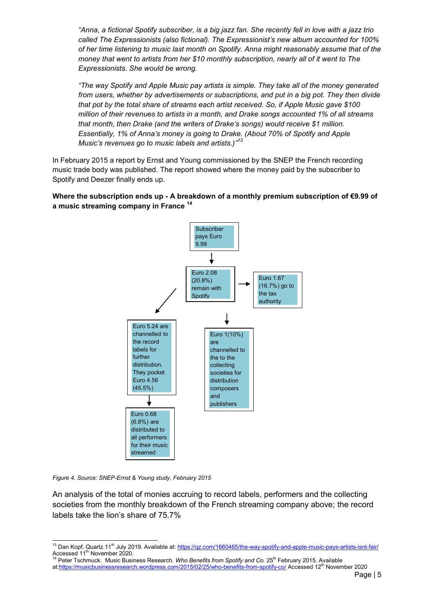*"Anna, a fictional Spotify subscriber, is a big jazz fan. She recently fell in love with a jazz trio called The Expressionists (also fictional). The Expressionist's new album accounted for 100% of her time listening to music last month on Spotify. Anna might reasonably assume that of the money that went to artists from her \$10 monthly subscription, nearly all of it went to The Expressionists. She would be wrong.* 

*"The way Spotify and Apple Music pay artists is simple. They take all of the money generated from users, whether by advertisements or subscriptions, and put in a big pot. They then divide that pot by the total share of streams each artist received. So, if Apple Music gave \$100 million of their revenues to artists in a month, and Drake songs accounted 1% of all streams that month, then Drake (and the writers of Drake's songs) would receive \$1 million. Essentially, 1% of Anna's money is going to Drake. (About 70% of Spotify and Apple Music's revenues go to music labels and artists.)"<sup>13</sup>*

In February 2015 a report by Ernst and Young commissioned by the SNEP the French recording music trade body was published. The report showed where the money paid by the subscriber to Spotify and Deezer finally ends up.

#### **Where the subscription ends up - A breakdown of a monthly premium subscription of €9.99 of a music streaming company in France <sup>14</sup>**



*Figure 4. Source: SNEP-Ernst & Young study, February 2015*

An analysis of the total of monies accruing to record labels, performers and the collecting societies from the monthly breakdown of the French streaming company above; the record labels take the lion's share of 75.7%

<sup>14</sup> Peter Tschmuck. Music Business Research. *Who Benefits from Spotify and Co.* 25<sup>th</sup> February 2015. Available at[:https://musicbusinessresearch.wordpress.com/2015/02/25/who-benefits-from-spotify-co/ A](https://musicbusinessresearch.wordpress.com/2015/02/25/who-benefits-from-spotify-co/)ccessed 12<sup>th</sup> November 2020

<sup>÷</sup> <sup>13</sup> Dan Kopf. Quartz.11<sup>th</sup> July 2019. Available at: <u>https://qz.com/1660465/the-way-spotify-and-apple-music-pays-artists-isnt-fair/</u> Accessed 11<sup>th</sup> November 2020.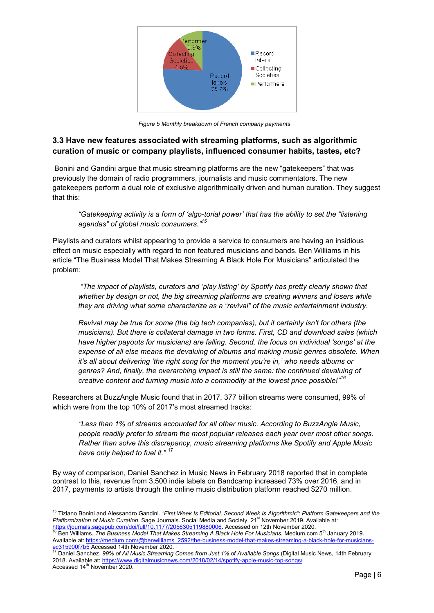

 *Figure 5 Monthly breakdown of French company payments* 

# **3.3 Have new features associated with streaming platforms, such as algorithmic curation of music or company playlists, influenced consumer habits, tastes, etc?**

[Bonini](https://journals.sagepub.com/action/doSearch?target=default&ContribAuthorStored=Bonini%2C+Tiziano) and Gandini argue that music streaming platforms are the new "gatekeepers" that was previously the domain of radio programmers, journalists and music commentators. The new gatekeepers perform a dual role of exclusive algorithmically driven and human curation. They suggest that this:

*"Gatekeeping activity is a form of 'algo-torial power' that has the ability to set the "listening agendas" of global music consumers." 15*

Playlists and curators whilst appearing to provide a service to consumers are having an insidious effect on music especially with regard to non featured musicians and bands. Ben Williams in his article "The Business Model That Makes Streaming A Black Hole For Musicians" articulated the problem:

 *"The impact of playlists, curators and 'play listing' by Spotify has pretty clearly shown that whether by design or not, the big streaming platforms are creating winners and losers while they are driving what some characterize as a "revival" of the music entertainment industry.* 

*Revival may be true for some (the big tech companies), but it certainly isn't for others (the musicians). But there is collateral damage in two forms. First, CD and download sales (which have higher payouts for musicians) are falling. Second, the focus on individual 'songs' at the expense of all else means the devaluing of albums and making music genres obsolete. When it's all about delivering 'the right song for the moment you're in,' who needs albums or genres? And, finally, the overarching impact is still the same: the continued devaluing of creative content and turning music into a commodity at the lowest price possible!"<sup>16</sup>*

Researchers at BuzzAngle Music found that in 2017, 377 billion streams were consumed, 99% of which were from the top 10% of 2017's most streamed tracks:

*"Less than 1% of streams accounted for all other music. According to BuzzAngle Music, people readily prefer to stream the most popular releases each year over most other songs. Rather than solve this discrepancy, music streaming platforms like Spotify and Apple Music have only helped to fuel it."* <sup>17</sup>

By way of comparison, Daniel Sanchez in Music News in February 2018 reported that in complete contrast to this, revenue from 3,500 indie labels on Bandcamp increased 73% over 2016, and in 2017, payments to artists through the online music distribution platform reached \$270 million.

<sup>÷</sup> <sup>15</sup> Tiziano Bonini and Alessandro Gandini. *"First Week Is Editorial, Second Week Is Algorithmic": Platform Gatekeepers and the Platformization of Music Curation.* Sage Journals. Social Media and Society. 21<sup>st</sup> November 2019. Available at:

<sup>&</sup>lt;u>https://journals.sagepub.com/doi/full/10.1177/2056305119880006</u>. Accessed on 12th November 2020.<br><sup>16</sup> Ben Williams*. The Business Model That Makes Streaming A Black Hole For Musicians. M*edium.com 5<sup>th</sup> January 2019. Available at: [https://medium.com/@benwilliams\\_2592/the-business-model-that-makes-streaming-a-black-hole-for-musicians-](https://medium.com/@benwilliams_2592/the-business-model-that-makes-streaming-a-black-hole-for-musicians-ec315900f7b5)315900f7b5 Accessed 14th November 2020.

<sup>17</sup> Daniel Sanchez, *99% of All Music Streaming Comes from Just 1% of Available Songs* (Digital Music News, 14th February 2018. Available at:<https://www.digitalmusicnews.com/2018/02/14/spotify-apple-music-top-songs/> Accessed 14<sup>th</sup> November 2020.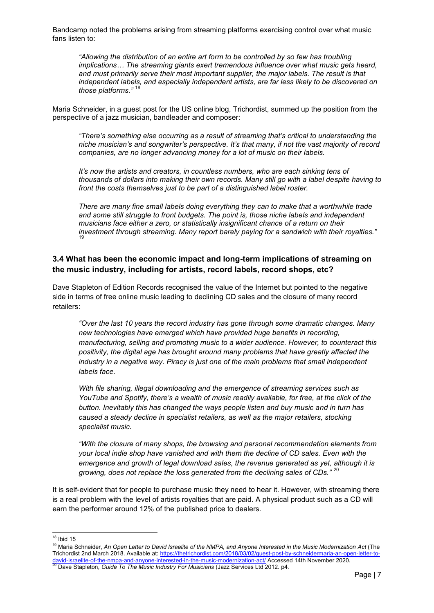Bandcamp noted the problems arising from streaming platforms exercising control over what music fans listen to:

*"Allowing the distribution of an entire art form to be controlled by so few has troubling implications… The streaming giants exert tremendous influence over what music gets heard, and must primarily serve their most important supplier, the major labels. The result is that independent labels, and especially independent artists, are far less likely to be discovered on*  those platforms."

Maria Schneider, in a guest post for the US online blog, Trichordist, summed up the position from the perspective of a jazz musician, bandleader and composer:

*"There's something else occurring as a result of streaming that's critical to understanding the niche musician's and songwriter's perspective. It's that many, if not the vast majority of record companies, are no longer advancing money for a lot of music on their labels.* 

*It's now the artists and creators, in countless numbers, who are each sinking tens of thousands of dollars into making their own records. Many still go with a label despite having to front the costs themselves just to be part of a distinguished label roster.* 

*There are many fine small labels doing everything they can to make that a worthwhile trade and some still struggle to front budgets. The point is, those niche labels and independent musicians face either a zero, or statistically insignificant chance of a return on their investment through streaming. Many report barely paying for a sandwich with their royalties."*  19

#### **3.4 What has been the economic impact and long-term implications of streaming on the music industry, including for artists, record labels, record shops, etc?**

Dave Stapleton of Edition Records recognised the value of the Internet but pointed to the negative side in terms of free online music leading to declining CD sales and the closure of many record retailers:

*"Over the last 10 years the record industry has gone through some dramatic changes. Many new technologies have emerged which have provided huge benefits in recording, manufacturing, selling and promoting music to a wider audience. However, to counteract this positivity, the digital age has brought around many problems that have greatly affected the industry in a negative way. Piracy is just one of the main problems that small independent labels face.* 

*With file sharing, illegal downloading and the emergence of streaming services such as YouTube and Spotify, there's a wealth of music readily available, for free, at the click of the button. Inevitably this has changed the ways people listen and buy music and in turn has caused a steady decline in specialist retailers, as well as the major retailers, stocking specialist music.* 

*"With the closure of many shops, the browsing and personal recommendation elements from your local indie shop have vanished and with them the decline of CD sales. Even with the emergence and growth of legal download sales, the revenue generated as yet, although it is growing, does not replace the loss generated from the declining sales of CDs."* <sup>20</sup>

It is self-evident that for people to purchase music they need to hear it. However, with streaming there is a real problem with the level of artists royalties that are paid. A physical product such as a CD will earn the performer around 12% of the published price to dealers.

 $\overline{1}$  $18$  Ibid 15

<sup>19</sup> Maria Schneider, *An Open Letter to David Israelite of the NMPA, and Anyone Interested in the Music Modernization Act* (The Trichordist 2nd March 2018. Available at[: https://thetrichordist.com/2018/03/02/guest-post-by-schneidermaria-an-open-letter-to-](https://thetrichordist.com/2018/03/02/guest-post-by-schneidermaria-an-open-letter-to-david-israelite-of-the-nmpa-and-anyone-interested-in-the-music-modernization-act/)<u>david-israelite-of-the-nmpa-and-anyone-interested-in-the-music-modernization-act/</u> Accessed 14th November 2020.<br><sup>20</sup> Dave Stapleton, *Guide To The Music Industry For Musicians* (Jazz Services Ltd 2012. p4.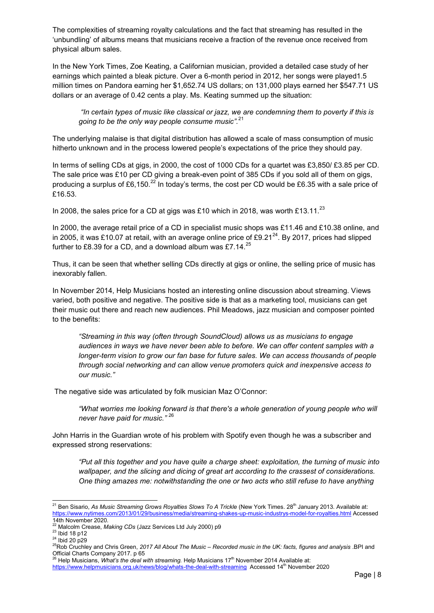The complexities of streaming royalty calculations and the fact that streaming has resulted in the 'unbundling' of albums means that musicians receive a fraction of the revenue once received from physical album sales.

In the New York Times, Zoe Keating, a Californian musician, provided a detailed case study of her earnings which painted a bleak picture. Over a 6-month period in 2012, her songs were played1.5 million times on Pandora earning her \$1,652.74 US dollars; on 131,000 plays earned her \$547.71 US dollars or an average of 0.42 cents a play. Ms. Keating summed up the situation:

 *"In certain types of music like classical or jazz, we are condemning them to poverty if this is going to be the only way people consume music".*<sup>21</sup>

The underlying malaise is that digital distribution has allowed a scale of mass consumption of music hitherto unknown and in the process lowered people's expectations of the price they should pay.

In terms of selling CDs at gigs, in 2000, the cost of 1000 CDs for a quartet was £3,850/ £3.85 per CD. The sale price was £10 per CD giving a break-even point of 385 CDs if you sold all of them on gigs, producing a surplus of £6,150.<sup>22</sup> In today's terms, the cost per CD would be £6.35 with a sale price of £16.53.

In 2008, the sales price for a CD at gigs was £10 which in 2018, was worth £13.11.<sup>23</sup>

In 2000, the average retail price of a CD in specialist music shops was £11.46 and £10.38 online, and in 2005, it was £10.07 at retail, with an average online price of £9.21<sup>24</sup>. By 2017, prices had slipped further to £8.39 for a CD, and a download album was £7.14. $^{25}$ 

Thus, it can be seen that whether selling CDs directly at gigs or online, the selling price of music has inexorably fallen.

In November 2014, Help Musicians hosted an interesting online discussion about streaming. Views varied, both positive and negative. The positive side is that as a marketing tool, musicians can get their music out there and reach new audiences. Phil Meadows, jazz musician and composer pointed to the benefits:

*"Streaming in this way (often through SoundCloud) allows us as musicians to engage audiences in ways we have never been able to before. We can offer content samples with a longer-term vision to grow our fan base for future sales. We can access thousands of people through social networking and can* allow *venue promoters quick and inexpensive access to our music."* 

The negative side was articulated by folk musician Maz O'Connor:

*"What worries me looking forward is that there's a whole generation of young people who will never have paid for music."* <sup>26</sup>

John Harris in the Guardian wrote of his problem with Spotify even though he was a subscriber and expressed strong reservations:

*"Put all this together and you have quite a charge sheet: exploitation, the turning of music into wallpaper, and the slicing and dicing of great art according to the crassest of considerations. One thing amazes me: notwithstanding the one or two acts who still refuse to have anything* 

 $\overline{a}$ <sup>21</sup> Ben Sisario, *As Music Streaming Grows Royalties Slows To A Trickle* (New York Times. 28<sup>th</sup> January 2013. Available at: <https://www.nytimes.com/2013/01/29/business/media/streaming-shakes-up-music-industrys-model-for-royalties.html>Accessed

<sup>14</sup>th November 2020. <sup>22</sup> Malcolm Crease, *Making CDs* (Jazz Services Ltd July 2000) p9

<sup>23</sup> Ibid 18 p12

<sup>24</sup> Ibid 20 p29

<sup>25</sup>Rob Cruchley and Chris Green, *2017 All About The Music – Recorded music in the UK: facts, figures and analysis* .BPI and

Official Charts Company 2017. p 65<br><sup>26</sup> Help Musicians, *What's the deal with streaming.* Help Musicians 17<sup>th</sup> November 2014 Available at:

<https://www.helpmusicians.org.uk/news/blog/whats-the-deal-with-streaming>Accessed 14<sup>th</sup> November 2020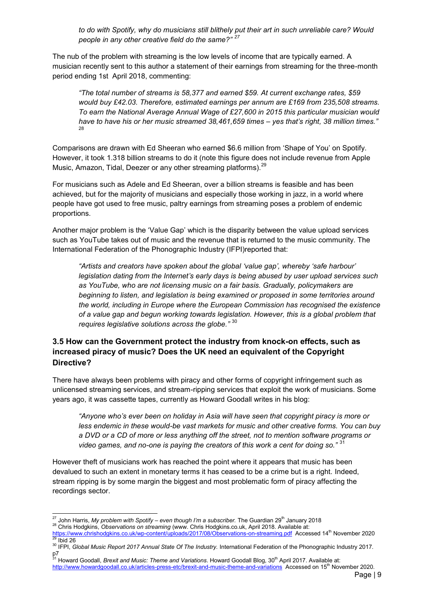*to do with Spotify, why do musicians still blithely put their art in such unreliable care? Would people in any other creative field do the same?" <sup>27</sup>*

The nub of the problem with streaming is the low levels of income that are typically earned. A musician recently sent to this author a statement of their earnings from streaming for the three-month period ending 1st April 2018, commenting:

*"The total number of streams is 58,377 and earned \$59. At current exchange rates, \$59 would buy £42.03. Therefore, estimated earnings per annum are £169 from 235,508 streams. To earn the National Average Annual Wage of £27,600 in 2015 this particular musician would have to have his or her music streamed 38,461,659 times – yes that's right, 38 million times."*  28

Comparisons are drawn with Ed Sheeran who earned \$6.6 million from 'Shape of You' on Spotify. However, it took 1.318 billion streams to do it (note this figure does not include revenue from Apple Music, Amazon, Tidal, Deezer or any other streaming platforms).<sup>29</sup>

For musicians such as Adele and Ed Sheeran, over a billion streams is feasible and has been achieved, but for the majority of musicians and especially those working in jazz, in a world where people have got used to free music, paltry earnings from streaming poses a problem of endemic proportions.

Another major problem is the 'Value Gap' which is the disparity between the value upload services such as YouTube takes out of music and the revenue that is returned to the music community. The International Federation of the Phonographic Industry (IFPI)reported that:

*"Artists and creators have spoken about the global 'value gap', whereby 'safe harbour' legislation dating from the Internet's early days is being abused by user upload services such as YouTube, who are not licensing music on a fair basis. Gradually, policymakers are beginning to listen, and legislation is being examined or proposed in some territories around the world, including in Europe where the European Commission has recognised the existence of a value gap and begun working towards legislation. However, this is a global problem that requires legislative solutions across the globe."* <sup>30</sup>

## **3.5 How can the Government protect the industry from knock-on effects, such as increased piracy of music? Does the UK need an equivalent of the Copyright Directive?**

There have always been problems with piracy and other forms of copyright infringement such as unlicensed streaming services, and stream-ripping services that exploit the work of musicians. Some years ago, it was cassette tapes, currently as Howard Goodall writes in his blog:

*"Anyone who's ever been on holiday in Asia will have seen that copyright piracy is more or less endemic in these would-be vast markets for music and other creative forms. You can buy a DVD or a CD of more or less anything off the street, not to mention software programs or video games, and no-one is paying the creators of this work a cent for doing so."* <sup>31</sup>

However theft of musicians work has reached the point where it appears that music has been devalued to such an extent in monetary terms it has ceased to be a crime but is a right. Indeed, stream ripping is by some margin the biggest and most problematic form of piracy affecting the recordings sector.

 $\overline{a}$ <sup>27</sup> John Harris, *My problem with Spotify – even though I'm a subscriber.* The Guardian 29<sup>th</sup> January 2018

<sup>28</sup> Chris Hodgkins, *Observations on streaming* (www. Chris Hodgkins.co.uk, April 2018. Available at:

<https://www.chrishodgkins.co.uk/wp-content/uploads/2017/08/Observations-on-streaming.pdf>Accessed 14<sup>th</sup> November 2020  $^{29}$  Ibid 26

<sup>&</sup>lt;sup>30</sup> IFPI, *Global Music Report 2017 Annual State Of The Industry.* International Federation of the Phonographic Industry 2017.

p7<br><sup>31</sup> Howard Goodall, *Brexit and Music: Theme and Variations*. Howard Goodall Blog, 30<sup>th</sup> April 2017. Available at: <http://www.howardgoodall.co.uk/articles-press-etc/brexit-and-music-theme-and-variations>Accessed on 15<sup>th</sup> November 2020.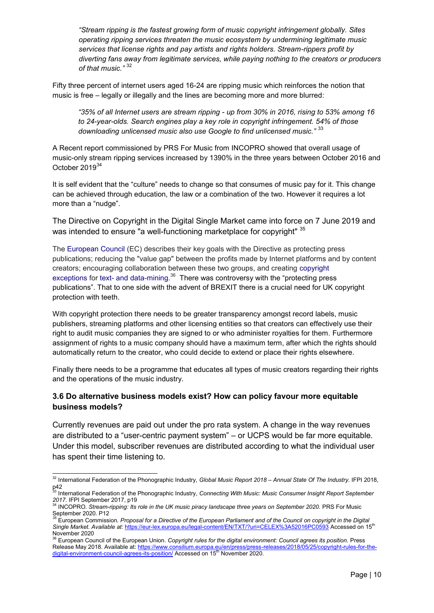*"Stream ripping is the fastest growing form of music copyright infringement globally. Sites operating ripping services threaten the music ecosystem by undermining legitimate music services that license rights and pay artists and rights holders. Stream-rippers profit by diverting fans away from legitimate services, while paying nothing to the creators or producers of that music."* <sup>32</sup>

Fifty three percent of internet users aged 16-24 are ripping music which reinforces the notion that music is free – legally or illegally and the lines are becoming more and more blurred:

*"35% of all Internet users are stream ripping - up from 30% in 2016, rising to 53% among 16 to 24-year-olds. Search engines play a key role in copyright infringement. 54% of those downloading unlicensed music also use Google to find unlicensed music."* <sup>33</sup>

A Recent report commissioned by PRS For Music from INCOPRO showed that overall usage of music-only stream ripping services increased by 1390% in the three years between October 2016 and October 2019<sup>34</sup>

It is self evident that the "culture" needs to change so that consumes of music pay for it. This change can be achieved through education, the law or a combination of the two. However it requires a lot more than a "nudge".

The Directive on Copyright in the Digital Single Market came into force on 7 June 2019 and was intended to ensure "a well-functioning marketplace for copyright" 35

The [European Council](https://en.wikipedia.org/wiki/European_Council) (EC) describes their key goals with the Directive as protecting press publications; reducing the "value gap" between the profits made by Internet platforms and by content creators; encouraging collaboration between these two groups, and creating [copyright](https://en.wikipedia.org/wiki/Copyright_exceptions)  [exceptions](https://en.wikipedia.org/wiki/Copyright_exceptions) for [text- and data-mining.](https://en.wikipedia.org/wiki/Text_and_data_mining)<sup>36</sup> There was controversy with the "protecting press publications". That to one side with the advent of BREXIT there is a crucial need for UK copyright protection with teeth.

With copyright protection there needs to be greater transparency amongst record labels, music publishers, streaming platforms and other licensing entities so that creators can effectively use their right to audit music companies they are signed to or who administer royalties for them. Furthermore assignment of rights to a music company should have a maximum term, after which the rights should automatically return to the creator, who could decide to extend or place their rights elsewhere.

Finally there needs to be a programme that educates all types of music creators regarding their rights and the operations of the music industry.

## **3.6 Do alternative business models exist? How can policy favour more equitable business models?**

Currently revenues are paid out under the pro rata system. A change in the way revenues are distributed to a "user-centric payment system" – or UCPS would be far more equitable. Under this model, subscriber revenues are distributed according to what the individual user has spent their time listening to.

 $\overline{a}$ <sup>32</sup> International Federation of the Phonographic Industry, *Global Music Report 2018 – Annual State Of The Industry.* IFPI 2018, p42<br><sup>33</sup> International Federation of the Phonographic Industry, *Connecting With Music: Music Consumer Insight Report September* 

*<sup>2017</sup>*. IFPI September 2017, p19 <sup>34</sup> INCOPRO*. Stream-ripping: Its role in the UK music piracy landscape three years on September 2020.* PRS For Music

September 2020. P12

*<sup>35</sup>* European Commission*. Proposal for a Directive of the European Parliament and of the Council on copyright in the Digital Single Market. Available at:* <https://eur-lex.europa.eu/legal-content/EN/TXT/?uri=CELEX%3A52016PC0593>Accessed on 15th November 2020

<sup>&</sup>lt;sup>3</sup> European Council of the European Union. *Copyright rules for the digital environment: Council agrees its position.* Press Release May 2018. Available at: [https://www.consilium.europa.eu/en/press/press-releases/2018/05/25/copyright-rules-for-the](https://www.consilium.europa.eu/en/press/press-releases/2018/05/25/copyright-rules-for-the-digital-environment-council-agrees-its-position/)[digital-environment-council-agrees-its-position/ A](https://www.consilium.europa.eu/en/press/press-releases/2018/05/25/copyright-rules-for-the-digital-environment-council-agrees-its-position/)ccessed on 15<sup>th</sup> November 2020.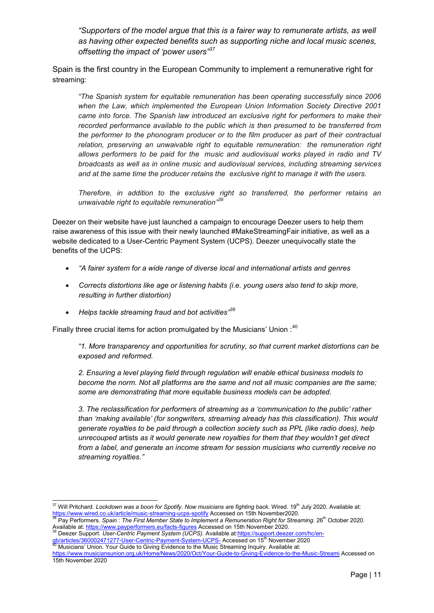*"Supporters of the model argue that this is a fairer way to remunerate artists, as well as having other expected benefits such as supporting niche and local music scenes, offsetting the impact of 'power users"<sup>37</sup>*

Spain is the first country in the European Community to implement a remunerative right for streaming:

*"The Spanish system for equitable remuneration has been operating successfully since 2006 when the Law, which implemented the European Union Information Society Directive 2001 came into force. The Spanish law introduced an exclusive right for performers to make their recorded performance available to the public which is then presumed to be transferred from the performer to the phonogram producer or to the film producer as part of their contractual relation, preserving an unwaivable right to equitable remuneration: the remuneration right allows performers to be paid for the music and audiovisual works played in radio and TV broadcasts as well as in online music and audiovisual services, including streaming services and at the same time the producer retains the exclusive right to manage it with the users.*

*Therefore, in addition to the exclusive right so transferred, the performer retains an unwaivable right to equitable remuneration"<sup>38</sup>*

Deezer on their website have just launched a campaign to encourage Deezer users to help them raise awareness of this issue with their newly launched #MakeStreamingFair initiative, as well as a website dedicated to a User-Centric Payment System (UCPS). Deezer unequivocally state the benefits of the UCPS:

- *"A fairer system for a wide range of diverse local and international artists and genres*
- *Corrects distortions like age or listening habits (i.e. young users also tend to skip more, resulting in further distortion)*
- *Helps tackle streaming fraud and bot activities"<sup>39</sup>*

Finally three crucial items for action promulgated by the Musicians' Union  $:^{40}$ 

*"1. More transparency and opportunities for scrutiny, so that current market distortions can be exposed and reformed.* 

*2. Ensuring a level playing field through regulation will enable ethical business models to become the norm. Not all platforms are the same and not all music companies are the same; some are demonstrating that more equitable business models can be adopted.* 

*3. The reclassification for performers of streaming as a 'communication to the public' rather than 'making available' (for songwriters, streaming already has this classification). This would generate royalties to be paid through a collection society such as PPL (like radio does), help unrecouped* artists *as it would generate new royalties for them that they wouldn't get direct from a label, and generate an income stream for session musicians who currently receive no streaming royalties."*

 $\overline{a}$ <sup>37</sup> Will Pritchard. *Lockdown was a boon for Spotify. Now musicians are fighting back.* Wired. 19<sup>th</sup> July 2020. Available at: <https://www.wired.co.uk/article/music-streaming-ucps-spotify>Accessed on 15th November2020.

Pay Performers. Spain : The First Member State to Implement a Remuneration Right for Streaming. 26<sup>th</sup> October 2020. Available at:<https://www.payperformers.eu/facts-figures>Accessed on 15th November 2020.

<sup>39</sup> Deezer Support. *User-Centric Payment System (UCPS).* Available a[t:https://support.deezer.com/hc/en](https://support.deezer.com/hc/en-gb/articles/360002471277-User-Centric-Payment-System-UCPS-)b/articles/360002471277-User-Centric-Payment-System-UCPS- Accessed on 15<sup>th</sup> November 2020

<sup>40</sup> Musicians' Union. Your Guide to Giving Evidence to the Music Streaming Inquiry. Available at:

<https://www.musiciansunion.org.uk/Home/News/2020/Oct/Your-Guide-to-Giving-Evidence-to-the-Music-Streami>Accessed on 15th November 2020